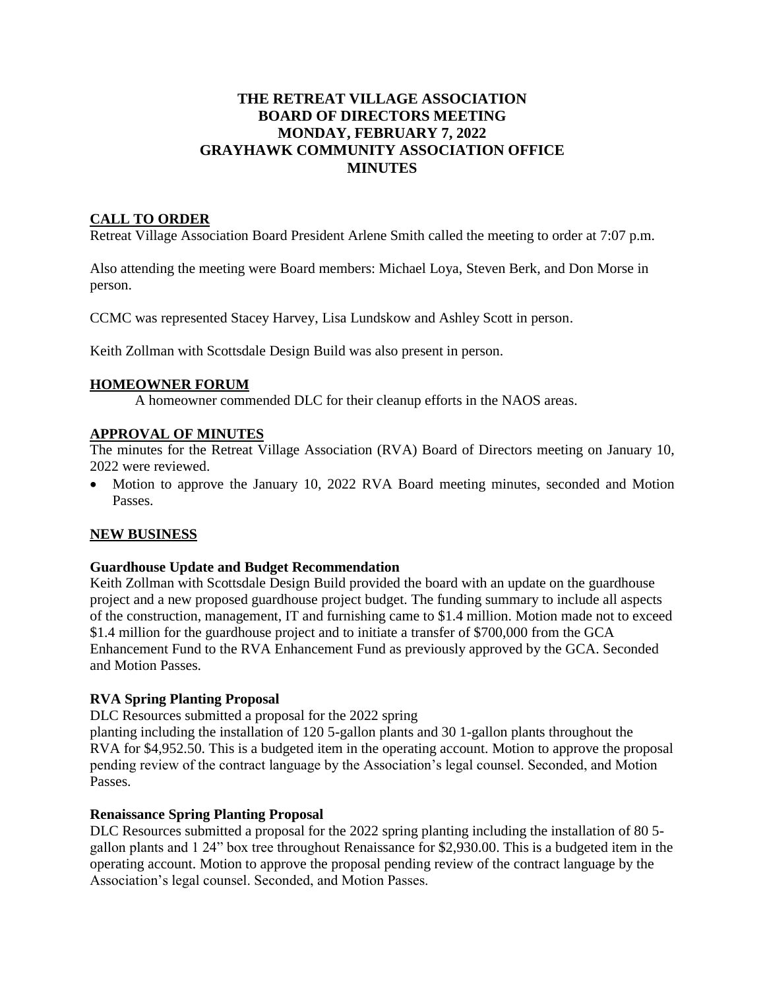# **THE RETREAT VILLAGE ASSOCIATION BOARD OF DIRECTORS MEETING MONDAY, FEBRUARY 7, 2022 GRAYHAWK COMMUNITY ASSOCIATION OFFICE MINUTES**

# **CALL TO ORDER**

Retreat Village Association Board President Arlene Smith called the meeting to order at 7:07 p.m.

Also attending the meeting were Board members: Michael Loya, Steven Berk, and Don Morse in person.

CCMC was represented Stacey Harvey, Lisa Lundskow and Ashley Scott in person.

Keith Zollman with Scottsdale Design Build was also present in person.

### **HOMEOWNER FORUM**

A homeowner commended DLC for their cleanup efforts in the NAOS areas.

### **APPROVAL OF MINUTES**

The minutes for the Retreat Village Association (RVA) Board of Directors meeting on January 10, 2022 were reviewed.

• Motion to approve the January 10, 2022 RVA Board meeting minutes, seconded and Motion Passes.

### **NEW BUSINESS**

### **Guardhouse Update and Budget Recommendation**

Keith Zollman with Scottsdale Design Build provided the board with an update on the guardhouse project and a new proposed guardhouse project budget. The funding summary to include all aspects of the construction, management, IT and furnishing came to \$1.4 million. Motion made not to exceed \$1.4 million for the guardhouse project and to initiate a transfer of \$700,000 from the GCA Enhancement Fund to the RVA Enhancement Fund as previously approved by the GCA. Seconded and Motion Passes.

### **RVA Spring Planting Proposal**

DLC Resources submitted a proposal for the 2022 spring

planting including the installation of 120 5-gallon plants and 30 1-gallon plants throughout the RVA for \$4,952.50. This is a budgeted item in the operating account. Motion to approve the proposal pending review of the contract language by the Association's legal counsel. Seconded, and Motion Passes.

### **Renaissance Spring Planting Proposal**

DLC Resources submitted a proposal for the 2022 spring planting including the installation of 80 5 gallon plants and 1 24" box tree throughout Renaissance for \$2,930.00. This is a budgeted item in the operating account. Motion to approve the proposal pending review of the contract language by the Association's legal counsel. Seconded, and Motion Passes.